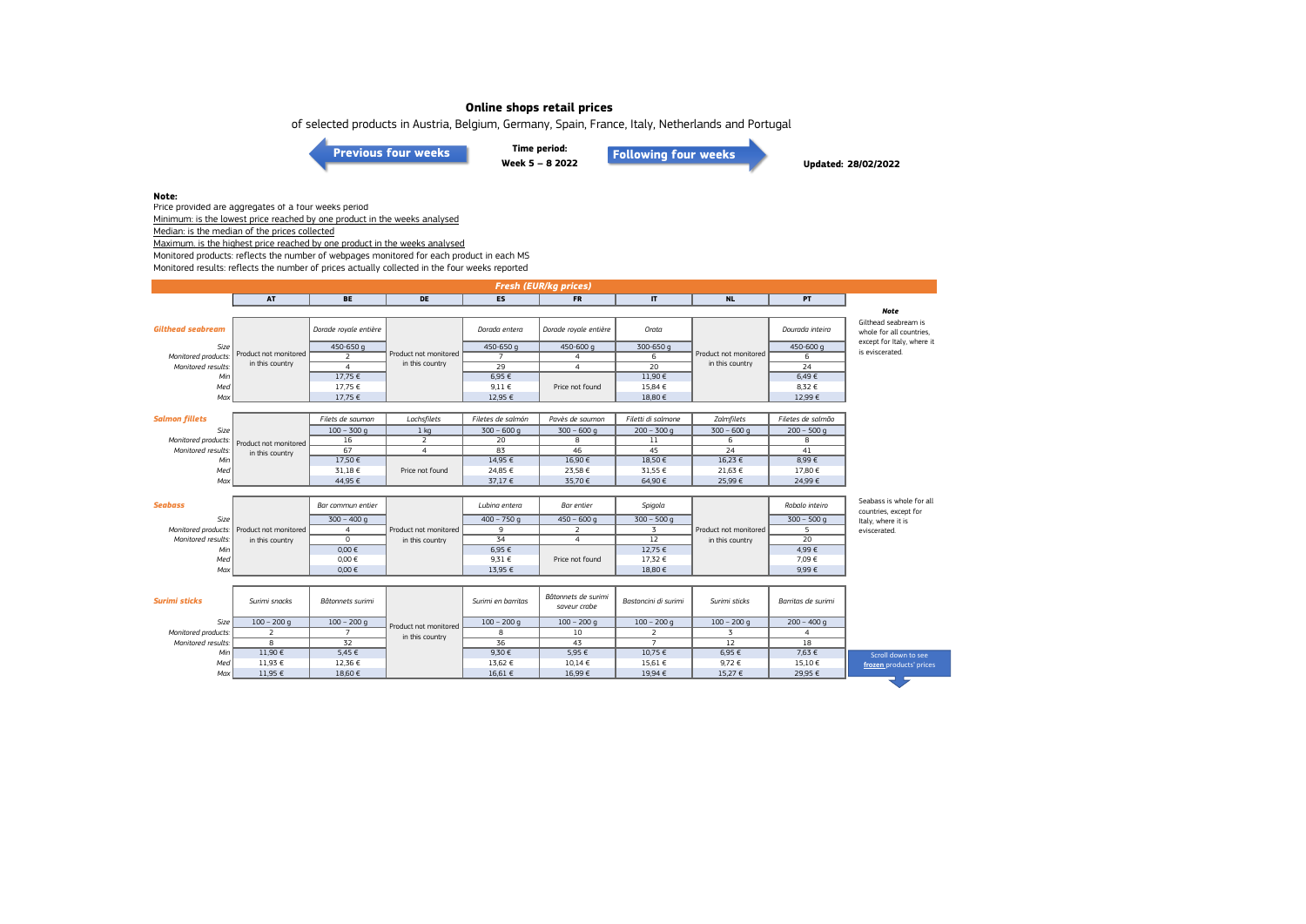of selected products in Austria, Belgium, Germany, Spain, France, Italy, Netherlands and Portugal

**[Previous four weeks](https://www.eumofa.eu/documents/20178/487668/W5-8_2022.pdf/3572ebda-382f-5c40-e638-6a295432d915?t=1646059482628)**

**Time period: Week 5 – 8 2022 [Following four weeks](https://www.eumofa.eu/documents/20178/487668/W9-12+2022.pdf/d19066a0-ab11-83ca-7611-b36fe8dde2da?t=1648648471643)**

**Updated: 28/02/2022**

#### **Note:**

Price provided are aggregates of a four weeks period Minimum: is the lowest price reached by one product in the weeks analysed

Median: is the median of the prices collected

Maximum. is the highest price reached by one product in the weeks analysed

Monitored products: reflects the number of webpages monitored for each product in each MS

Monitored results: reflects the number of prices actually collected in the four weeks reported

| <b>AT</b><br><b>BE</b><br>DE<br><b>ES</b><br><b>FR</b><br><b>NL</b><br><b>PT</b><br>$\mathbf{I}$<br><b>Gilthead seabream</b><br>Dorade royale entière<br>Dorade royale entière<br>Orata<br>Dourada inteira<br>Dorada entera<br>450-650 g<br>450-650 g<br>450-600 g<br>300-650 g<br>Size<br>450-600 g<br>is eviscerated.<br>Product not monitored<br>Product not monitored<br>Product not monitored<br>$\overline{2}$<br>6<br>Monitored products:<br>$\overline{7}$<br>6<br>$\overline{4}$<br>in this country<br>in this country<br>in this country<br>29<br>$\overline{4}$<br>$\overline{20}$<br>$\overline{24}$<br>$\overline{4}$<br>Monitored results:<br>11,90€<br>6,49€<br>17,75 €<br>6,95 €<br>Min<br>15,84 €<br>8.32 €<br>Med<br>17.75 €<br>$9.11 \in$<br>Price not found<br>Max<br>12,95 €<br>18,80€<br>12,99 €<br>17,75 €<br><b>Salmon fillets</b><br>Lachsfilets<br>Filetes de salmón<br>Pavès de saumon<br>Zalmfilets<br>Filets de saumon<br>Filetti di salmone<br>Filetes de salmão<br>Size | <b>Fresh (EUR/kg prices)</b> |  |               |                 |              |              |               |              |               |                                                   |
|--------------------------------------------------------------------------------------------------------------------------------------------------------------------------------------------------------------------------------------------------------------------------------------------------------------------------------------------------------------------------------------------------------------------------------------------------------------------------------------------------------------------------------------------------------------------------------------------------------------------------------------------------------------------------------------------------------------------------------------------------------------------------------------------------------------------------------------------------------------------------------------------------------------------------------------------------------------------------------------------------------|------------------------------|--|---------------|-----------------|--------------|--------------|---------------|--------------|---------------|---------------------------------------------------|
|                                                                                                                                                                                                                                                                                                                                                                                                                                                                                                                                                                                                                                                                                                                                                                                                                                                                                                                                                                                                        |                              |  |               |                 |              |              |               |              |               |                                                   |
|                                                                                                                                                                                                                                                                                                                                                                                                                                                                                                                                                                                                                                                                                                                                                                                                                                                                                                                                                                                                        |                              |  |               |                 |              |              |               |              |               | <b>Note</b>                                       |
|                                                                                                                                                                                                                                                                                                                                                                                                                                                                                                                                                                                                                                                                                                                                                                                                                                                                                                                                                                                                        |                              |  |               |                 |              |              |               |              |               | Gilthead seabream is<br>whole for all countries.  |
|                                                                                                                                                                                                                                                                                                                                                                                                                                                                                                                                                                                                                                                                                                                                                                                                                                                                                                                                                                                                        |                              |  |               |                 |              |              |               |              |               | except for Italy, where it                        |
|                                                                                                                                                                                                                                                                                                                                                                                                                                                                                                                                                                                                                                                                                                                                                                                                                                                                                                                                                                                                        |                              |  |               |                 |              |              |               |              |               |                                                   |
|                                                                                                                                                                                                                                                                                                                                                                                                                                                                                                                                                                                                                                                                                                                                                                                                                                                                                                                                                                                                        |                              |  |               |                 |              |              |               |              |               |                                                   |
|                                                                                                                                                                                                                                                                                                                                                                                                                                                                                                                                                                                                                                                                                                                                                                                                                                                                                                                                                                                                        |                              |  |               |                 |              |              |               |              |               |                                                   |
|                                                                                                                                                                                                                                                                                                                                                                                                                                                                                                                                                                                                                                                                                                                                                                                                                                                                                                                                                                                                        |                              |  |               |                 |              |              |               |              |               |                                                   |
|                                                                                                                                                                                                                                                                                                                                                                                                                                                                                                                                                                                                                                                                                                                                                                                                                                                                                                                                                                                                        |                              |  |               |                 |              |              |               |              |               |                                                   |
|                                                                                                                                                                                                                                                                                                                                                                                                                                                                                                                                                                                                                                                                                                                                                                                                                                                                                                                                                                                                        |                              |  |               |                 |              |              |               |              |               |                                                   |
|                                                                                                                                                                                                                                                                                                                                                                                                                                                                                                                                                                                                                                                                                                                                                                                                                                                                                                                                                                                                        |                              |  |               |                 |              |              |               |              |               |                                                   |
|                                                                                                                                                                                                                                                                                                                                                                                                                                                                                                                                                                                                                                                                                                                                                                                                                                                                                                                                                                                                        |                              |  | $100 - 300$ q | 1 <sub>kq</sub> | $300 - 600q$ | $300 - 600q$ | $200 - 300$ q | $300 - 600q$ | $200 - 500$ q |                                                   |
| 16<br>$\overline{2}$<br>20<br>8<br>11<br>6<br>8<br>Monitored products:<br>Product not monitored                                                                                                                                                                                                                                                                                                                                                                                                                                                                                                                                                                                                                                                                                                                                                                                                                                                                                                        |                              |  |               |                 |              |              |               |              |               |                                                   |
| 67<br>83<br>46<br>45<br>24<br>41<br>Monitored results:<br>$\overline{4}$<br>in this country                                                                                                                                                                                                                                                                                                                                                                                                                                                                                                                                                                                                                                                                                                                                                                                                                                                                                                            |                              |  |               |                 |              |              |               |              |               |                                                   |
| 17,50€<br>8.99€<br>14.95€<br>16.90€<br>18.50€<br>16.23 €<br>Min                                                                                                                                                                                                                                                                                                                                                                                                                                                                                                                                                                                                                                                                                                                                                                                                                                                                                                                                        |                              |  |               |                 |              |              |               |              |               |                                                   |
| 31,18€<br>Price not found<br>24,85 €<br>23,58 €<br>31,55 €<br>21,63 €<br>17,80 €<br>Med                                                                                                                                                                                                                                                                                                                                                                                                                                                                                                                                                                                                                                                                                                                                                                                                                                                                                                                |                              |  |               |                 |              |              |               |              |               |                                                   |
| Max<br>44,95 €<br>37,17 €<br>35,70€<br>64,90 €<br>25,99€<br>24,99 €                                                                                                                                                                                                                                                                                                                                                                                                                                                                                                                                                                                                                                                                                                                                                                                                                                                                                                                                    |                              |  |               |                 |              |              |               |              |               |                                                   |
|                                                                                                                                                                                                                                                                                                                                                                                                                                                                                                                                                                                                                                                                                                                                                                                                                                                                                                                                                                                                        |                              |  |               |                 |              |              |               |              |               |                                                   |
| <b>Seabass</b><br>Robalo inteiro<br>Bar commun entier<br>Lubina entera<br>Bar entier<br>Spigola                                                                                                                                                                                                                                                                                                                                                                                                                                                                                                                                                                                                                                                                                                                                                                                                                                                                                                        |                              |  |               |                 |              |              |               |              |               | Seabass is whole for all<br>countries, except for |
| Size<br>$300 - 400q$<br>$400 - 750q$<br>$450 - 600q$<br>$300 - 500$ q<br>$300 - 500q$                                                                                                                                                                                                                                                                                                                                                                                                                                                                                                                                                                                                                                                                                                                                                                                                                                                                                                                  |                              |  |               |                 |              |              |               |              |               | Italy, where it is                                |
| $\overline{9}$<br>3<br>Monitored products: Product not monitored<br>2<br>5<br>Product not monitored<br>Product not monitored<br>$\overline{a}$<br>eviscerated.                                                                                                                                                                                                                                                                                                                                                                                                                                                                                                                                                                                                                                                                                                                                                                                                                                         |                              |  |               |                 |              |              |               |              |               |                                                   |
| 34<br>$\overline{12}$<br>$\overline{20}$<br>$\overline{0}$<br>$\overline{4}$<br>Monitored results:<br>in this country<br>in this country<br>in this country                                                                                                                                                                                                                                                                                                                                                                                                                                                                                                                                                                                                                                                                                                                                                                                                                                            |                              |  |               |                 |              |              |               |              |               |                                                   |
| $0,00 \in$<br>6,95€<br>12,75 €<br>4,99€<br>Min                                                                                                                                                                                                                                                                                                                                                                                                                                                                                                                                                                                                                                                                                                                                                                                                                                                                                                                                                         |                              |  |               |                 |              |              |               |              |               |                                                   |
| 0,00 €<br>9,31 €<br>17,32 €<br>7,09€<br>Med<br>Price not found                                                                                                                                                                                                                                                                                                                                                                                                                                                                                                                                                                                                                                                                                                                                                                                                                                                                                                                                         |                              |  |               |                 |              |              |               |              |               |                                                   |
| Max<br>$0,00 \in$<br>13,95 €<br>18,80 €<br>9,99€                                                                                                                                                                                                                                                                                                                                                                                                                                                                                                                                                                                                                                                                                                                                                                                                                                                                                                                                                       |                              |  |               |                 |              |              |               |              |               |                                                   |
|                                                                                                                                                                                                                                                                                                                                                                                                                                                                                                                                                                                                                                                                                                                                                                                                                                                                                                                                                                                                        |                              |  |               |                 |              |              |               |              |               |                                                   |
| Bâtonnets de surimi<br><b>Surimi sticks</b><br>Surimi en barritas<br>Bastoncini di surimi<br>Surimi sticks<br>Surimi snacks<br>Bâtonnets surimi<br>Barritas de surimi<br>saveur crabe                                                                                                                                                                                                                                                                                                                                                                                                                                                                                                                                                                                                                                                                                                                                                                                                                  |                              |  |               |                 |              |              |               |              |               |                                                   |
| Size<br>$100 - 200$ q<br>$100 - 200$ g<br>$100 - 200$ q<br>$100 - 200$ q<br>$100 - 200$ q<br>$200 - 400$ q<br>$100 - 200$ q                                                                                                                                                                                                                                                                                                                                                                                                                                                                                                                                                                                                                                                                                                                                                                                                                                                                            |                              |  |               |                 |              |              |               |              |               |                                                   |
| Product not monitored<br>$\overline{2}$<br>$\overline{2}$<br>$\overline{3}$<br>$\overline{7}$<br>8<br>10<br>Monitored products:<br>$\overline{4}$<br>in this country                                                                                                                                                                                                                                                                                                                                                                                                                                                                                                                                                                                                                                                                                                                                                                                                                                   |                              |  |               |                 |              |              |               |              |               |                                                   |
| $\overline{32}$<br>36<br>$\overline{8}$<br>43<br>$\overline{7}$<br>12<br>18<br>Monitored results:                                                                                                                                                                                                                                                                                                                                                                                                                                                                                                                                                                                                                                                                                                                                                                                                                                                                                                      |                              |  |               |                 |              |              |               |              |               |                                                   |
| 11.90€<br>5.95€<br>10.75 €<br>7.63 €<br>5.45 €<br>9.30 €<br>6,95€<br>Min                                                                                                                                                                                                                                                                                                                                                                                                                                                                                                                                                                                                                                                                                                                                                                                                                                                                                                                               |                              |  |               |                 |              |              |               |              |               | Scroll down to see                                |
| 11,93 €<br>12,36 €<br>13,62 €<br>10,14 €<br>15,61 €<br>9,72€<br>15,10 €<br>Med                                                                                                                                                                                                                                                                                                                                                                                                                                                                                                                                                                                                                                                                                                                                                                                                                                                                                                                         |                              |  |               |                 |              |              |               |              |               | frozen products' prices                           |
| 19,94 €<br>29,95 €<br>11,95 €<br>18,60 €<br>16.61 €<br>16.99€<br>15,27 €<br>Max                                                                                                                                                                                                                                                                                                                                                                                                                                                                                                                                                                                                                                                                                                                                                                                                                                                                                                                        |                              |  |               |                 |              |              |               |              |               |                                                   |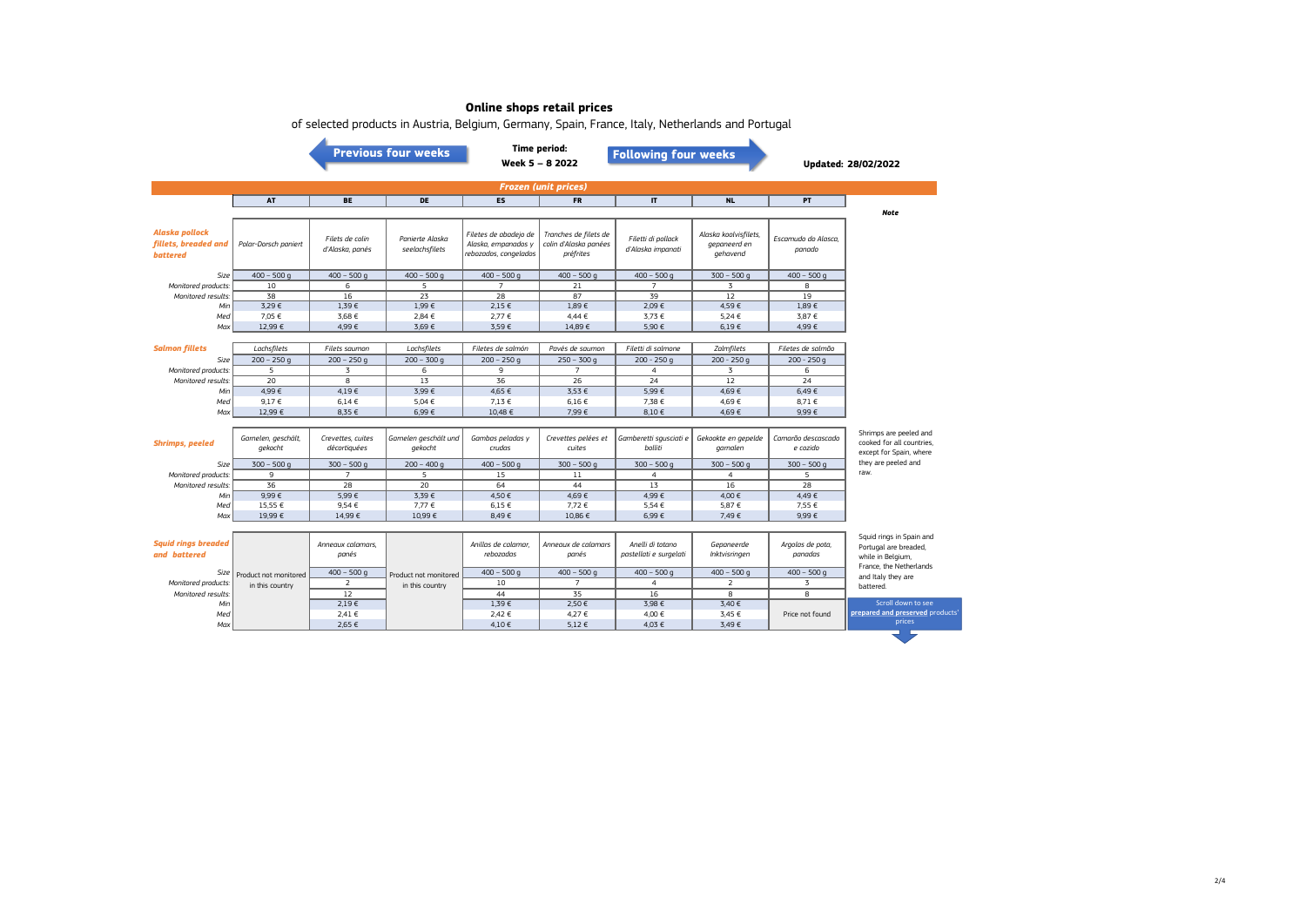|                                                           | <b>Time period:</b><br><b>Previous four weeks</b><br><b>Following four weeks</b><br>Week 5 - 8 2022 |                                    |                                          |                                                                       |                                                             |                                         |                                                   |                               | Updated: 28/02/2022                                 |  |
|-----------------------------------------------------------|-----------------------------------------------------------------------------------------------------|------------------------------------|------------------------------------------|-----------------------------------------------------------------------|-------------------------------------------------------------|-----------------------------------------|---------------------------------------------------|-------------------------------|-----------------------------------------------------|--|
| <b>Frozen (unit prices)</b>                               |                                                                                                     |                                    |                                          |                                                                       |                                                             |                                         |                                                   |                               |                                                     |  |
|                                                           | <b>AT</b>                                                                                           | <b>BE</b>                          | <b>DE</b>                                | <b>ES</b>                                                             | <b>FR</b>                                                   | $\mathbf{I}$                            | <b>NL</b>                                         | PT.                           | <b>Note</b>                                         |  |
| Alaska pollock<br>fillets, breaded and<br><b>battered</b> | Polar-Dorsch paniert                                                                                | Filets de colin<br>d'Alaska, panés | Panierte Alaska<br>seelachsfilets        | Filetes de abadejo de<br>Alaska, empanados y<br>rebozados, congelados | Tranches de filets de<br>colin d'Alaska panées<br>préfrites | Filetti di pollack<br>d'Alaska impanati | Alaska koolvisfilets,<br>gepaneerd en<br>gehavend | Escamudo do Alasca,<br>panado |                                                     |  |
| Size                                                      | $400 - 500$ q                                                                                       | $400 - 500$ g                      | $400 - 500$ q                            | $400 - 500$ g                                                         | $400 - 500$ g                                               | $400 - 500$ g                           | $300 - 500$ g                                     | $400 - 500$ q                 |                                                     |  |
| Monitored products:                                       | 10                                                                                                  | 6                                  | 5                                        | $\overline{7}$                                                        | 21                                                          | $\overline{7}$                          | $\overline{3}$                                    | 8                             |                                                     |  |
| Monitored results:                                        | 38                                                                                                  | 16                                 | 23                                       | 28                                                                    | 87                                                          | 39                                      | 12                                                | 19                            |                                                     |  |
| Min                                                       | 3,29€                                                                                               | 1,39€                              | 1,99€                                    | 2,15 €                                                                | 1,89€                                                       | 2,09€                                   | 4,59€                                             | 1,89€                         |                                                     |  |
| Med                                                       | 7,05 €                                                                                              | 3.68€                              | 2,84 €                                   | 2,77 €                                                                | 4,44€                                                       | 3.73 €                                  | 5,24 €                                            | 3.87 €                        |                                                     |  |
| Max                                                       | 12,99 €                                                                                             | 4,99€                              | 3,69€                                    | 3,59€                                                                 | 14,89€                                                      | 5,90€                                   | $6,19 \in$                                        | 4,99 €                        |                                                     |  |
| <b>Salmon fillets</b>                                     | Lachsfilets                                                                                         | Filets saumon                      | Lachsfilets                              | Filetes de salmón                                                     | Pavés de saumon                                             | Filetti di salmone                      | Zalmfilets                                        | Filetes de salmão             |                                                     |  |
| Size                                                      | $200 - 250$ q                                                                                       | $200 - 250$ q                      | $200 - 300q$                             | $200 - 250q$                                                          | $250 - 300q$                                                | $200 - 250q$                            | $200 - 250q$                                      | $200 - 250q$                  |                                                     |  |
| Monitored products.                                       | 5                                                                                                   | 3                                  | 6                                        | 9                                                                     | $\overline{7}$                                              | $\overline{4}$                          | 3                                                 | 6                             |                                                     |  |
| Monitored results.                                        | 20                                                                                                  | $\overline{8}$                     | 13                                       | 36                                                                    | $\overline{26}$                                             | $\overline{24}$                         | 12                                                | 24                            |                                                     |  |
| Min                                                       | 4,99€                                                                                               | 4.19E                              | 3,99€                                    | 4,65 €                                                                | 3,53€                                                       | 5,99€                                   | 4,69€                                             | 6,49€                         |                                                     |  |
| Med                                                       | 9,17€                                                                                               | 6.14E                              | 5,04 €                                   | 7,13 €                                                                | 6.16€                                                       | 7,38 €                                  | 4,69€                                             | 8,71€                         |                                                     |  |
| Max                                                       | 12,99 €                                                                                             | 8,35 €                             | 6,99€                                    | 10,48 €                                                               | 7,99€                                                       | 8,10€                                   | 4,69€                                             | 9,99€                         |                                                     |  |
|                                                           |                                                                                                     |                                    |                                          |                                                                       |                                                             |                                         |                                                   |                               |                                                     |  |
| <b>Shrimps, peeled</b>                                    | Garnelen, geschält,                                                                                 | Crevettes, cuites                  | Garnelen geschält und                    | Gambas peladas y                                                      | Crevettes pelées et                                         | Gamberetti squsciati e                  | Gekookte en gepelde                               | Camarão descascado            | Shrimps are peeled and<br>cooked for all countries. |  |
|                                                           | gekocht                                                                                             | décortiquées                       | gekocht                                  | crudas                                                                | cuites                                                      | bolliti                                 | garnalen                                          | e cozido                      | except for Spain, where                             |  |
| Size                                                      | $300 - 500$ q                                                                                       | $300 - 500$ g                      | $200 - 400q$                             | $400 - 500$ g                                                         | $300 - 500$ g                                               | $300 - 500$ g                           | $300 - 500$ g                                     | $300 - 500$ g                 | they are peeled and                                 |  |
| Monitored products.                                       | 9                                                                                                   | $\overline{7}$                     | 5                                        | 15                                                                    | $1\,1$                                                      | $\overline{4}$                          | $\overline{4}$                                    | 5                             | raw.                                                |  |
| Monitored results.                                        | 36                                                                                                  | 28                                 | 20                                       | 64                                                                    | 44                                                          | 13                                      | 16                                                | 28                            |                                                     |  |
| Min                                                       | 9.99E                                                                                               | 5.99€                              | 3,39€                                    | 4,50 €                                                                | 4.69€                                                       | 4.99€                                   | 4,00 €                                            | 4,49€                         |                                                     |  |
| Med                                                       | 15,55 €                                                                                             | 9,54€                              | 7,77 €                                   | 6,15€                                                                 | 7,72€                                                       | 5,54 €                                  | 5,87 €                                            | 7,55 €                        |                                                     |  |
| Max                                                       | 19,99€                                                                                              | 14,99€                             | 10,99€                                   | 8,49€                                                                 | 10,86 €                                                     | 6,99€                                   | 7,49 €                                            | 9,99€                         |                                                     |  |
|                                                           |                                                                                                     |                                    |                                          |                                                                       |                                                             |                                         |                                                   |                               |                                                     |  |
| <b>Squid rings breaded</b>                                |                                                                                                     | Anneaux calamars,                  |                                          | Anillas de calamar,                                                   | Anneaux de calamars                                         | Anelli di totano                        | Gepaneerde                                        | Argolas de pota,              | Squid rings in Spain and<br>Portugal are breaded,   |  |
| and battered                                              |                                                                                                     | panés                              |                                          | rebozadas                                                             | panés                                                       | pastellati e surgelati                  | Inktvisringen                                     | panadas                       | while in Belgium,                                   |  |
| Size                                                      |                                                                                                     | $400 - 500$ q                      |                                          | $400 - 500q$                                                          | $400 - 500q$                                                | $400 - 500q$                            | $400 - 500$ q                                     | $400 - 500$ q                 | France, the Netherlands                             |  |
| Monitored products.                                       | Product not monitored<br>in this country                                                            | $\overline{2}$                     | Product not monitored<br>in this country | 10                                                                    | $\overline{7}$                                              | $\overline{4}$                          | 2                                                 | $\overline{3}$                | and Italy they are<br>battered.                     |  |
| Monitored results:                                        |                                                                                                     | 12                                 |                                          | 44                                                                    | 35                                                          | 16                                      | 8                                                 | 8                             |                                                     |  |
| Min                                                       |                                                                                                     | $2,19 \in$                         |                                          | 1,39€                                                                 | 2,50€                                                       | 3,98 €                                  | 3,40 €                                            |                               | Scroll down to see                                  |  |
| Med                                                       |                                                                                                     | 2.41 €                             |                                          | 2.42 €                                                                | 4.27 €                                                      | 4.00 €                                  | 3.45 €                                            | Price not found               | prepared and preserved products'                    |  |
| Max                                                       |                                                                                                     | 2.65 €                             |                                          | 4.10€                                                                 | 5,12€                                                       | 4.03 €                                  | 3.49€                                             |                               | prices                                              |  |

of selected products in Austria, Belgium, Germany, Spain, France, Italy, Netherlands and Portugal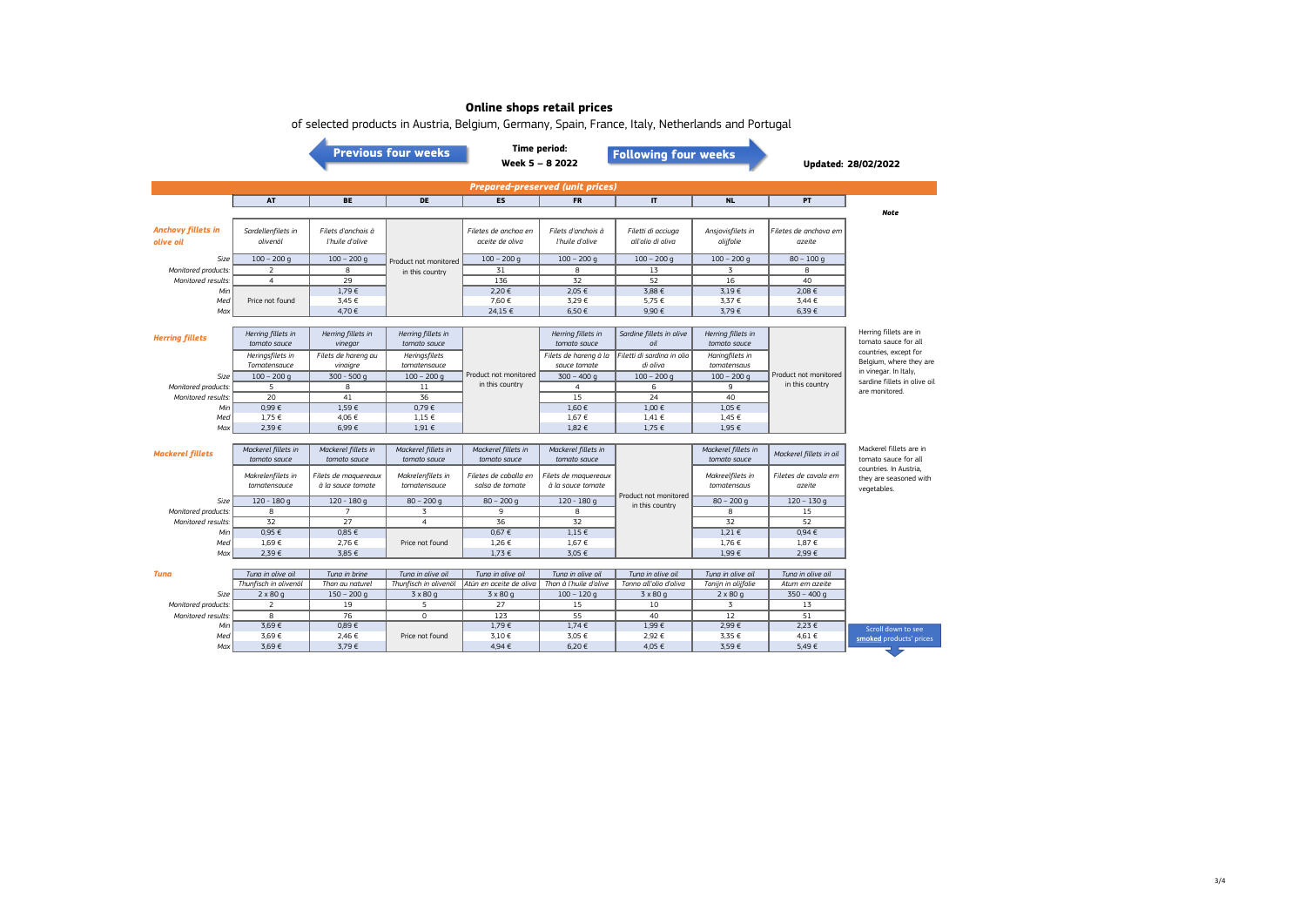|                                           |                                     |                                           | <b>Previous four weeks</b>          |                                          | <b>Time period:</b><br>Week 5 - 8 2022    | or selected products in Austria, Delgium, Germany, Spain, France, Italy, Nethenanus and Fortugal<br><b>Following four weeks</b> |                                     |                                 | <b>Updated: 28/02/2022</b>                                                |  |  |
|-------------------------------------------|-------------------------------------|-------------------------------------------|-------------------------------------|------------------------------------------|-------------------------------------------|---------------------------------------------------------------------------------------------------------------------------------|-------------------------------------|---------------------------------|---------------------------------------------------------------------------|--|--|
| <b>Prepared-preserved (unit prices)</b>   |                                     |                                           |                                     |                                          |                                           |                                                                                                                                 |                                     |                                 |                                                                           |  |  |
|                                           | AT                                  | <b>BE</b>                                 | DE                                  | <b>ES</b>                                | <b>FR</b>                                 | IT.                                                                                                                             | <b>NL</b>                           | PT                              |                                                                           |  |  |
| <b>Anchovy fillets in</b><br>olive oil    | Sardellenfilets in<br>olivenöl      | Filets d'anchois à<br>l'huile d'olive     |                                     | Filetes de anchoa en<br>aceite de oliva  | Filets d'anchois à<br>l'huile d'olive     | Filetti di acciuga<br>all'olio di oliva                                                                                         | Ansjovisfilets in<br>olijfolie      | Filetes de anchova em<br>azeite | <b>Note</b>                                                               |  |  |
| Size                                      | $100 - 200$ q                       | $100 - 200$ q                             | Product not monitored               | $100 - 200$ q                            | $100 - 200$ q                             | $100 - 200$ q                                                                                                                   | $100 - 200$ q                       | $80 - 100q$                     |                                                                           |  |  |
| Monitored products.                       | 2                                   | 8                                         | in this country                     | 31                                       | 8                                         | 13                                                                                                                              | 3                                   | 8                               |                                                                           |  |  |
| Monitored results:                        | $\overline{4}$                      | 29                                        |                                     | 136                                      | 32                                        | 52                                                                                                                              | 16                                  | 40                              |                                                                           |  |  |
| Min                                       |                                     | 1,79€                                     |                                     | 2,20 €                                   | 2,05 €                                    | 3.88 €                                                                                                                          | 3,19€                               | 2.08 €                          |                                                                           |  |  |
| Med                                       | Price not found                     | 3,45 €                                    |                                     | 7,60 €                                   | 3,29€                                     | 5,75 €                                                                                                                          | 3,37 €                              | 3.44 €                          |                                                                           |  |  |
| Max                                       |                                     | 4,70€                                     |                                     | 24,15 €                                  | 6,50€                                     | 9,90€                                                                                                                           | 3,79€                               | 6,39€                           |                                                                           |  |  |
| <b>Herring fillets</b>                    | Herring fillets in<br>tomato sauce  | Herring fillets in<br>vinegar             | Herring fillets in<br>tomato sauce  |                                          | Herring fillets in<br>tomato sauce        | Sardine fillets in olive<br>$\Omega$                                                                                            | Herring fillets in<br>tomato sauce  |                                 | Herring fillets are in<br>tomato sauce for all<br>countries, except for   |  |  |
|                                           | Heringsfilets in<br>Tomatensauce    | Filets de hareng au                       | Heringsfilets<br>tomatensauce       |                                          | Filets de harena à la                     | Filetti di sardina in olio<br>di oliva                                                                                          | Haringfilets in                     |                                 | Belgium, where they are                                                   |  |  |
| Size                                      |                                     | vinaigre<br>$300 - 500q$                  | $100 - 200$ q                       | Product not monitored                    | sauce tomate                              | $100 - 200$ q                                                                                                                   | tomatensaus<br>$100 - 200$ q        | Product not monitored           | in vinegar. In Italy,                                                     |  |  |
|                                           | $100 - 200 g$<br>5                  | 8                                         |                                     | in this country                          | $300 - 400q$                              |                                                                                                                                 | 9                                   | in this country                 | sardine fillets in olive oil                                              |  |  |
| Monitored products:                       |                                     |                                           | $11\,$<br>36                        |                                          | $\overline{4}$                            | 6<br>24                                                                                                                         | 40                                  |                                 | are monitored.                                                            |  |  |
| Monitored results:<br>Min                 | 20<br>0,99E                         | 41<br>1,59€                               | 0,79E                               |                                          | 15<br>$1,60 \in$                          | 1,00 €                                                                                                                          | $1,05 \in$                          |                                 |                                                                           |  |  |
| Med                                       | 1,75 €                              | 4,06 €                                    | $1.15 \in$                          |                                          | 1,67 €                                    | $1.41 \in$                                                                                                                      | 1,45 €                              |                                 |                                                                           |  |  |
| Max                                       | 2,39€                               | 6,99€                                     | $1,91 \in$                          |                                          | 1,82 €                                    | 1,75 €                                                                                                                          | 1,95 €                              |                                 |                                                                           |  |  |
|                                           |                                     |                                           |                                     |                                          |                                           |                                                                                                                                 |                                     |                                 |                                                                           |  |  |
| <b>Mackerel fillets</b>                   | Mackerel fillets in<br>tomato sauce | Mackerel fillets in<br>tomato sauce       | Mackerel fillets in<br>tomato sauce | Mackerel fillets in<br>tomato sauce      | Mackerel fillets in<br>tomato sauce       |                                                                                                                                 | Mackerel fillets in<br>tomato sauce | Mackerel fillets in oil         | Mackerel fillets are in<br>tomato sauce for all<br>countries. In Austria, |  |  |
|                                           | Makrelenfilets in<br>tomatensauce   | Filets de maquereaux<br>à la sauce tomate | Makrelenfilets in<br>tomatensauce   | Filetes de caballa en<br>salsa de tomate | Filets de maguereaux<br>à la sauce tomate | Product not monitored                                                                                                           | Makreelfilets in<br>tomatensaus     | Filetes de cavala em<br>azeite  | they are seasoned with<br>vegetables.                                     |  |  |
| Size                                      | $120 - 180q$                        | $120 - 180q$                              | $80 - 200$ g                        | $80 - 200$ q                             | $120 - 180q$                              | in this country                                                                                                                 | $80 - 200$ q                        | $120 - 130q$                    |                                                                           |  |  |
| Monitored products:                       | 8                                   | $\overline{7}$                            | 3                                   | 9                                        | 8                                         |                                                                                                                                 | 8                                   | 15                              |                                                                           |  |  |
| Monitored results:                        | 32                                  | 27                                        | $\overline{4}$                      | 36                                       | 32                                        |                                                                                                                                 | 32                                  | 52                              |                                                                           |  |  |
| Min                                       | 0,95E                               | 0,85E                                     |                                     | 0,67E                                    | $1,15 \in$                                |                                                                                                                                 | $1,21 \in$                          | 0,94E                           |                                                                           |  |  |
| Med                                       | 1.69€                               | 2,76€                                     | Price not found                     | 1,26 €                                   | 1,67 €                                    |                                                                                                                                 | 1,76 €                              | $1,87 \in$                      |                                                                           |  |  |
| Max                                       | 2,39€                               | 3,85 €                                    |                                     | $1,73 \in$                               | 3,05 €                                    |                                                                                                                                 | 1,99€                               | 2,99€                           |                                                                           |  |  |
|                                           |                                     |                                           |                                     |                                          |                                           |                                                                                                                                 |                                     |                                 |                                                                           |  |  |
| Tuna                                      | Tung in olive oil                   | Tung in brine                             | Tung in olive oil                   | Tung in olive oil                        | Tung in olive oil                         | Tung in olive oil                                                                                                               | Tung in olive oil                   | Tung in olive oil               |                                                                           |  |  |
| Size                                      | Thunfisch in olivenöl               | Thon au naturel                           | Thunfisch in olivenöl               | Atún en aceite de oliva                  | Thon à l'huile d'olive                    | Tonno all'olio d'oliva                                                                                                          | Tonijn in olijfolie                 | Atum em azeite                  |                                                                           |  |  |
|                                           | $2 \times 80q$                      | $150 - 200$ q<br>19                       | $3 \times 80q$                      | $3 \times 80q$<br>27                     | $100 - 120$ g                             | $3 \times 80q$                                                                                                                  | $2 \times 80q$                      | $350 - 400q$                    |                                                                           |  |  |
| Monitored products.<br>Monitored results: | 2<br>$\overline{8}$                 | 76                                        | 5<br>$\overline{0}$                 | 123                                      | 15<br>55                                  | 10<br>40                                                                                                                        | 3<br>12                             | 13<br>51                        |                                                                           |  |  |
| Min                                       | 3,69€                               | 0,89€                                     |                                     | 1,79€                                    | $1,74 \in$                                | 1.99€                                                                                                                           | 2,99€                               | 2,23 €                          |                                                                           |  |  |
| Med                                       | 3,69€                               | 2,46 €                                    | Price not found                     | 3,10 €                                   | 3,05 €                                    | 2,92 €                                                                                                                          | 3,35 €                              | 4,61 €                          | Scroll down to see                                                        |  |  |
| Max                                       | 3,69€                               | 3,79€                                     |                                     | 4,94 €                                   | 6,20€                                     | 4,05 €                                                                                                                          | 3,59€                               | 5,49€                           | smoked products' prices                                                   |  |  |
|                                           |                                     |                                           |                                     |                                          |                                           |                                                                                                                                 |                                     |                                 | ⋝                                                                         |  |  |

of selected products in Austria, Belgium, Germany, Spain, France, Italy, Netherlands and Portugal